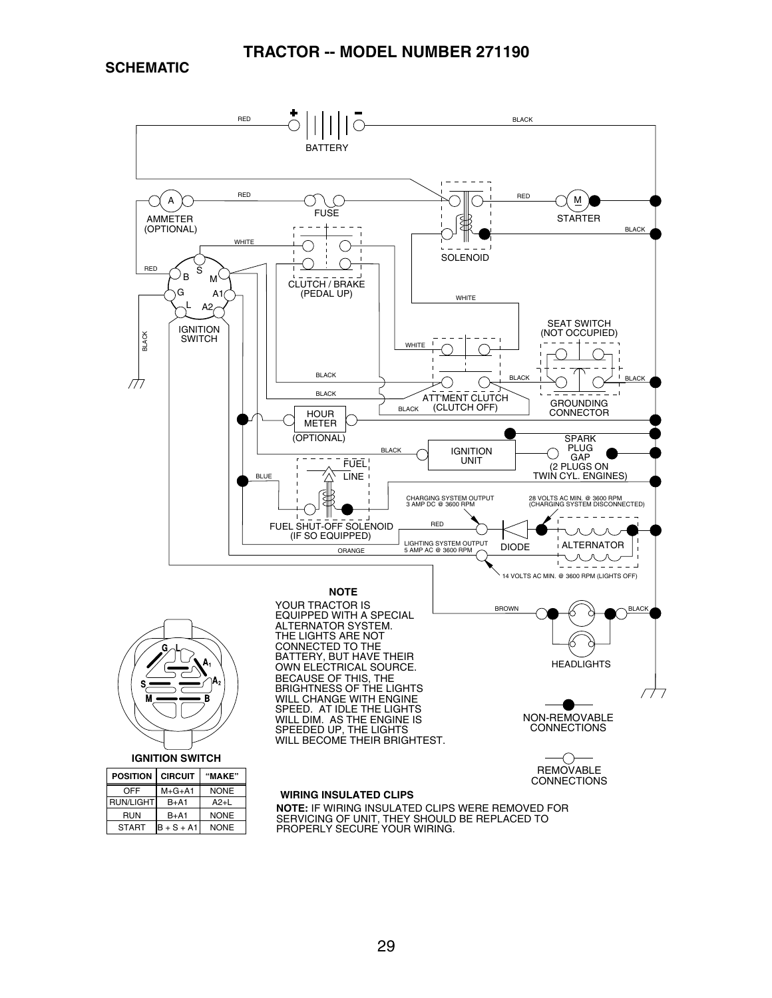**SCHEMATIC**

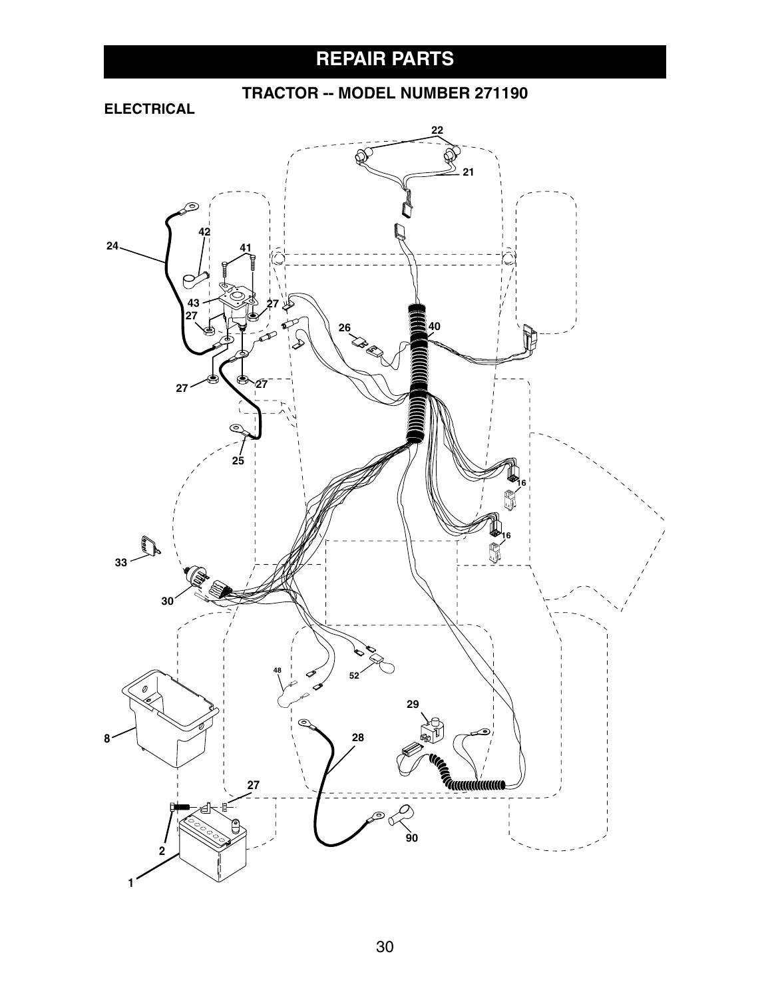# **REPAIR PARTS**

### **TRACTOR -- MODEL NUMBER 271190**

### **ELECTRICAL**

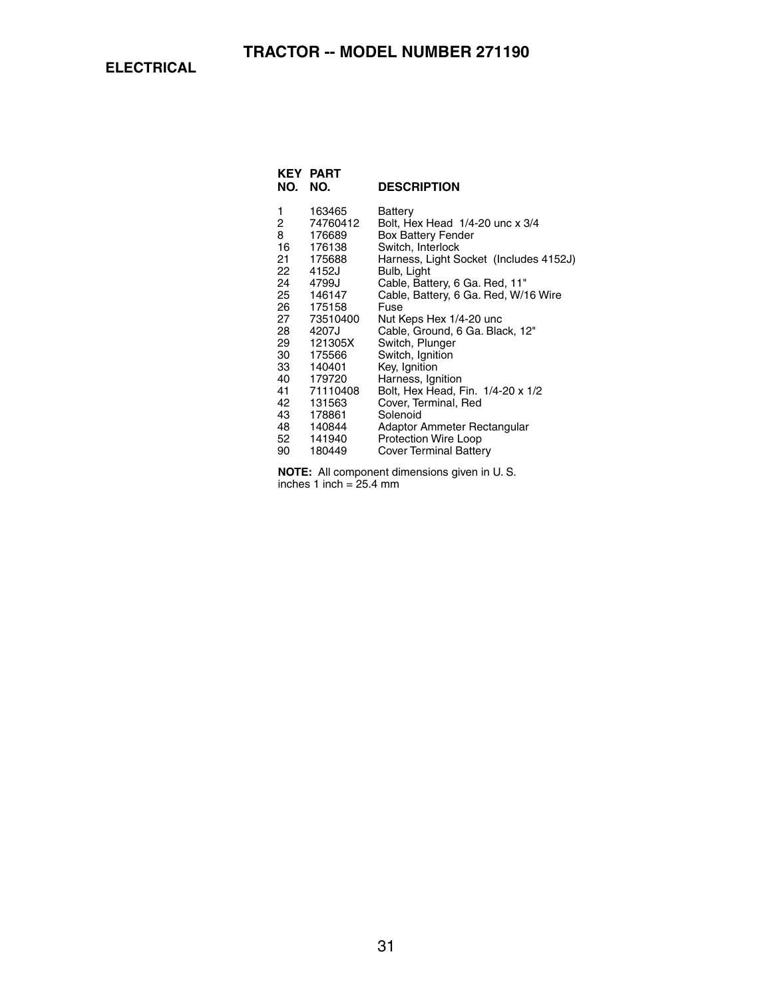**ELECTRICAL**

| KEY<br>NO. | <b>PART</b><br>NO. | <b>DESCRIPTION</b>                     |
|------------|--------------------|----------------------------------------|
| 1          | 163465             | Battery                                |
| 2          | 74760412           | Bolt, Hex Head 1/4-20 unc x 3/4        |
| 8          | 176689             | Box Battery Fender                     |
| 16         | 176138             | Switch, Interlock                      |
| 21         | 175688             | Harness, Light Socket (Includes 4152J) |
| 22         | 4152J              | Bulb, Light                            |
| 24         | 4799J              | Cable, Battery, 6 Ga. Red, 11"         |
| 25         | 146147             | Cable, Battery, 6 Ga. Red, W/16 Wire   |
| 26         | 175158             | Fuse                                   |
| 27         | 73510400           | Nut Keps Hex 1/4-20 unc                |
| 28         | 4207J              | Cable, Ground, 6 Ga. Black, 12"        |
| 29         | 121305X            | Switch, Plunger                        |
| 30         | 175566             | Switch, Ignition                       |
| 33         | 140401             | Key, Ignition                          |
| 40         | 179720             | Harness, Ignition                      |
| 41         | 71110408           | Bolt, Hex Head, Fin. 1/4-20 x 1/2      |
| 42         | 131563             | Cover, Terminal, Red                   |
| 43         | 178861             | Solenoid                               |
| 48         | 140844             | Adaptor Ammeter Rectangular            |
| 52         | 141940             | Protection Wire Loop                   |
| 90         | 180449             | <b>Cover Terminal Battery</b>          |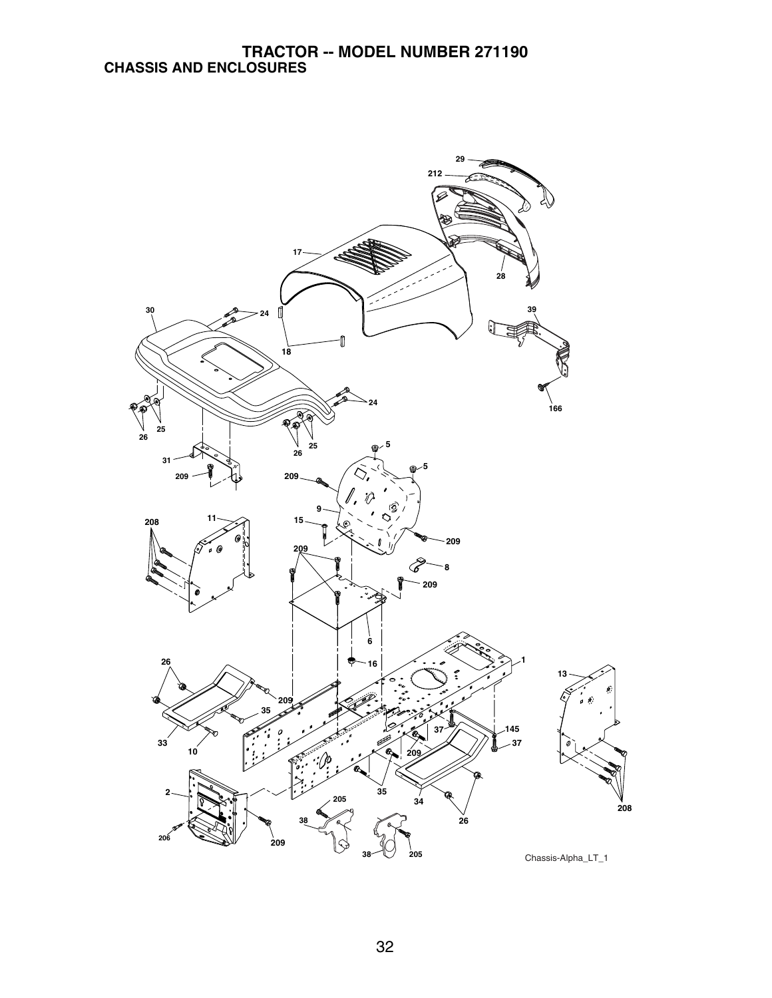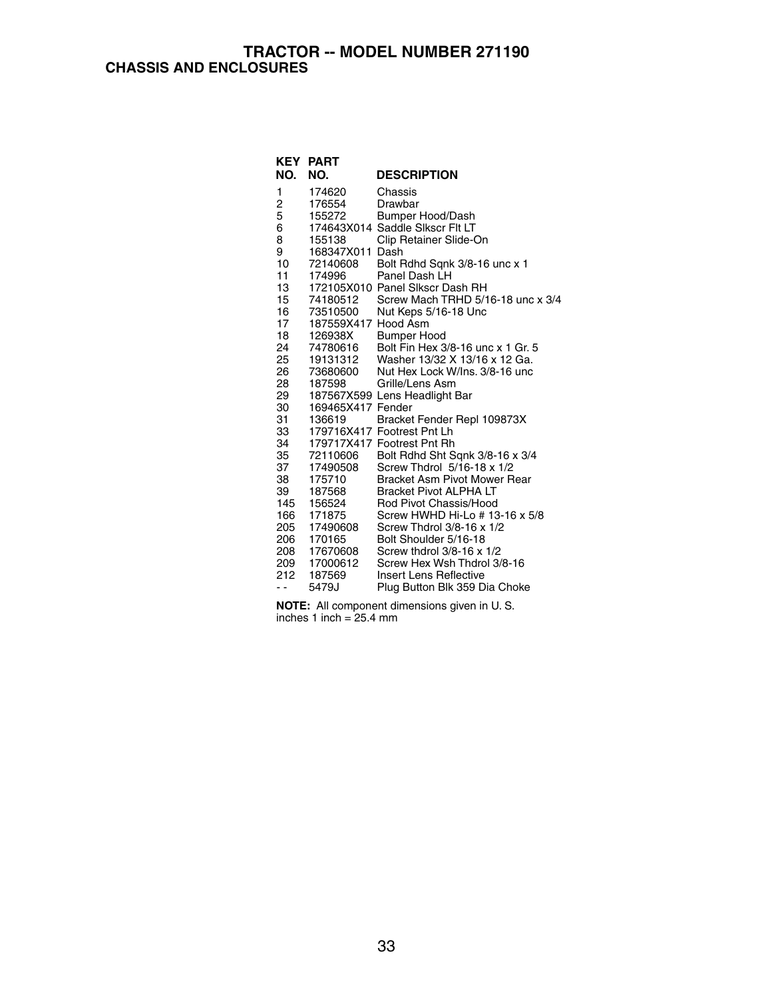### **TRACTOR -- MODEL NUMBER 271190 CHASSIS AND ENCLOSURES**

|            | <b>KEY PART</b>     |                                                    |
|------------|---------------------|----------------------------------------------------|
| NO.        | NO.                 | <b>DESCRIPTION</b>                                 |
| 1          | 174620              | Chassis                                            |
| 2          | 176554              | Drawbar                                            |
| 5          | 155272              | Bumper Hood/Dash                                   |
| 6          |                     | 174643X014 Saddle Sikscr Fit LT                    |
| 8          | 155138              | Clip Retainer Slide-On                             |
| 9          | 168347X011 Dash     |                                                    |
| 10         | 72140608            | Bolt Rdhd Sqnk 3/8-16 unc x 1                      |
| 11         | 174996              | Panel Dash LH                                      |
| 13         |                     | 172105X010 Panel Slkscr Dash RH                    |
| 15         | 74180512            | Screw Mach TRHD 5/16-18 unc x 3/4                  |
| 16         | 73510500            | Nut Keps 5/16-18 Unc                               |
| 17         | 187559X417 Hood Asm |                                                    |
| 18         | 126938X             | <b>Bumper Hood</b>                                 |
| 24         | 74780616            | Bolt Fin Hex 3/8-16 unc x 1 Gr. 5                  |
| 25         | 19131312            | Washer 13/32 X 13/16 x 12 Ga.                      |
| 26         | 73680600            | Nut Hex Lock W/Ins, 3/8-16 unc                     |
| 28         | 187598              | Grille/Lens Asm                                    |
| 29         |                     | 187567X599 Lens Headlight Bar                      |
| 30         | 169465X417 Fender   |                                                    |
| 31         | 136619              | Bracket Fender Repl 109873X                        |
| 33         |                     | 179716X417 Footrest Pnt Lh                         |
| 34         |                     | 179717X417 Footrest Pnt Rh                         |
| 35         | 72110606            | Bolt Rdhd Sht Sqnk 3/8-16 x 3/4                    |
| 37         | 17490508            | Screw Thdrol 5/16-18 x 1/2                         |
| 38         | 175710              | Bracket Asm Pivot Mower Rear                       |
| 39         | 187568              | <b>Bracket Pivot ALPHA LT</b>                      |
| 145        | 156524              | Rod Pivot Chassis/Hood                             |
| 166        | 171875              | Screw HWHD Hi-Lo # 13-16 x 5/8                     |
| 205<br>206 | 17490608            | Screw Thdrol 3/8-16 x 1/2<br>Bolt Shoulder 5/16-18 |
|            | 170165              | Screw thdrol 3/8-16 x 1/2                          |
| 208<br>209 | 17670608            | Screw Hex Wsh Thdrol 3/8-16                        |
| 212        | 17000612<br>187569  | Insert Lens Reflective                             |
|            | 5479J               |                                                    |
| . .        |                     | Plug Button Blk 359 Dia Choke                      |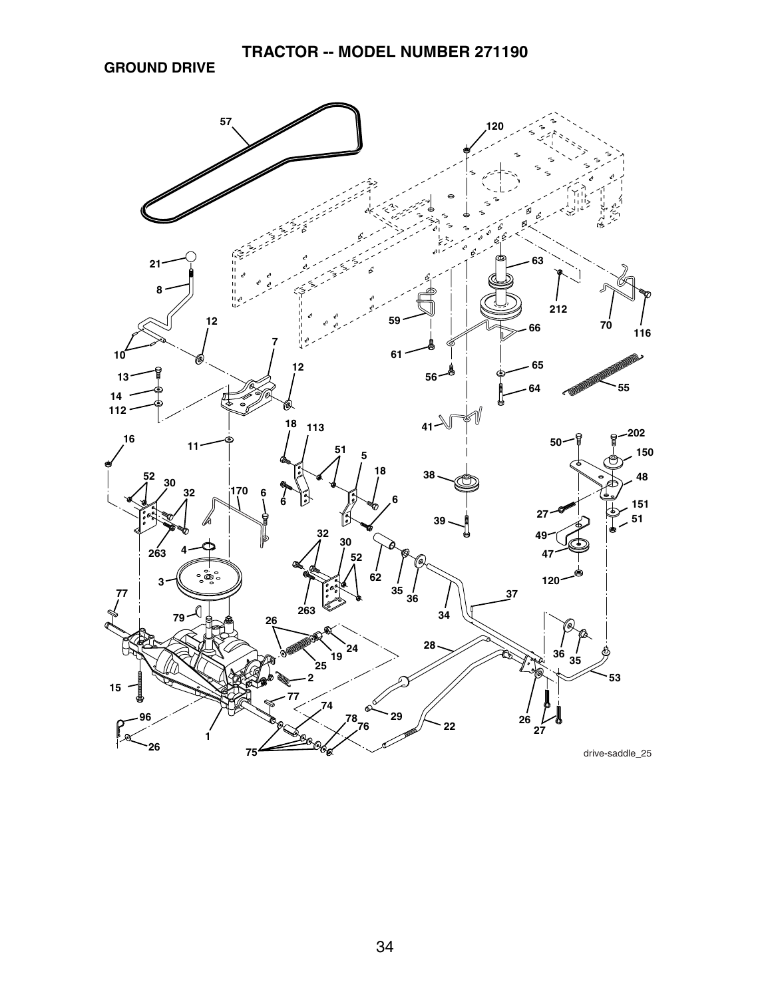**GROUND DRIVE**

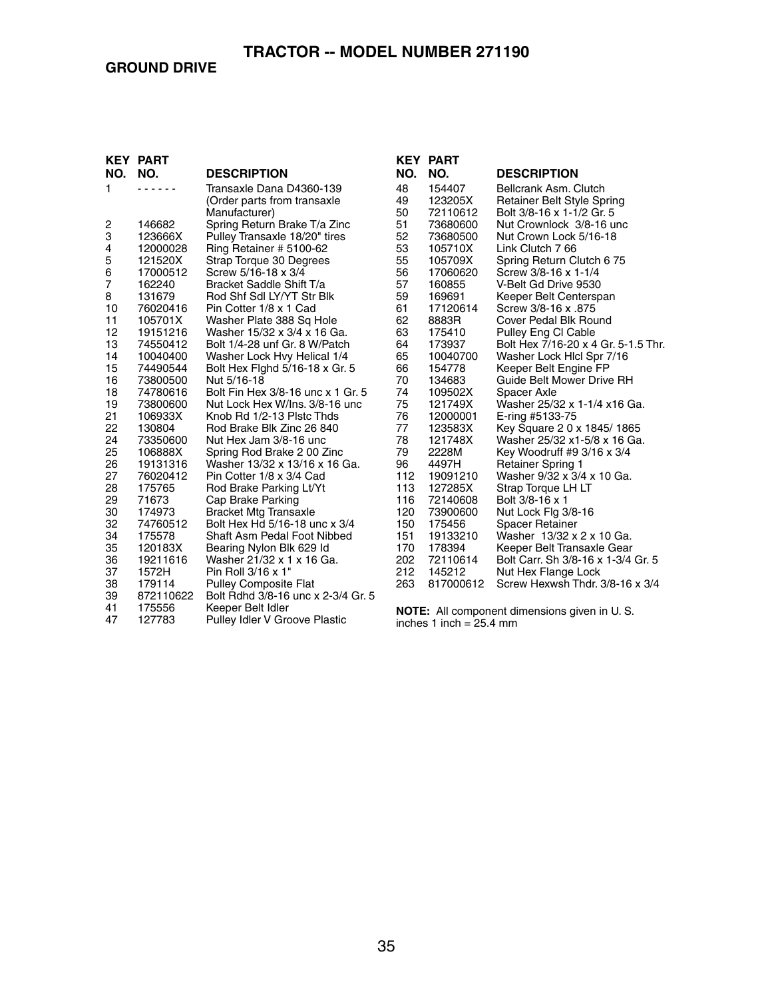| KEY                     | <b>PART</b>          |                                               |
|-------------------------|----------------------|-----------------------------------------------|
| NO.                     | NO.                  | <b>DESCRIPTION</b>                            |
| 1                       |                      | Transaxle Dana D4360-139                      |
|                         |                      | (Order parts from transaxle                   |
|                         |                      | Manufacturer)                                 |
| $\overline{\mathbf{c}}$ | 146682               | Spring Return Brake T/a Zinc                  |
| 3                       | 123666X              | Pulley Transaxle 18/20" tires                 |
| 4                       | 12000028             | Ring Retainer # 5100-62                       |
| $\overline{5}$          | 121520X              | Strap Torque 30 Degrees                       |
| 6                       | 17000512             | Screw 5/16-18 x 3/4                           |
| 7                       | 162240               | Bracket Saddle Shift T/a                      |
| 8                       | 131679               | Rod Shf Sdl LY/YT Str Blk                     |
| 10                      | 76020416             | Pin Cotter 1/8 x 1 Cad                        |
| 11                      | 105701X              | Washer Plate 388 Sq Hole                      |
| 12                      | 19151216             | Washer 15/32 x 3/4 x 16 Ga.                   |
| 13                      | 74550412             | Bolt 1/4-28 unf Gr. 8 W/Patch                 |
| 14<br>15                | 10040400<br>74490544 | Washer Lock Hvy Helical 1/4                   |
| 16                      | 73800500             | Bolt Hex Fighd 5/16-18 x Gr. 5<br>Nut 5/16-18 |
| 18                      | 74780616             | Bolt Fin Hex 3/8-16 unc x 1 Gr. 5             |
| 19                      | 73800600             | Nut Lock Hex W/Ins, 3/8-16 unc                |
| 21                      | 106933X              | Knob Rd 1/2-13 Plstc Thds                     |
| 22                      | 130804               | Rod Brake Blk Zinc 26 840                     |
| 24                      | 73350600             | Nut Hex Jam 3/8-16 unc                        |
| 25                      | 106888X              | Spring Rod Brake 2 00 Zinc                    |
| 26                      | 19131316             | Washer 13/32 x 13/16 x 16 Ga.                 |
| 27                      | 76020412             | Pin Cotter 1/8 x 3/4 Cad                      |
| 28                      | 175765               | Rod Brake Parking Lt/Yt                       |
| 29                      | 71673                | Cap Brake Parking                             |
| 30                      | 174973               | <b>Bracket Mtg Transaxle</b>                  |
| 32                      | 74760512             | Bolt Hex Hd 5/16-18 unc x 3/4                 |
| 34                      | 175578               | Shaft Asm Pedal Foot Nibbed                   |
| 35                      | 120183X              | Bearing Nylon Blk 629 Id                      |
| 36                      | 19211616             | Washer 21/32 x 1 x 16 Ga.                     |
| 37                      | 1572H                | Pin Roll 3/16 x 1"                            |
| 38                      | 179114               | <b>Pulley Composite Flat</b>                  |
| 39                      | 872110622            | Bolt Rdhd 3/8-16 unc x 2-3/4 Gr. 5            |
| 41                      | 175556               | Keeper Belt Idler                             |
| 47                      | 127783               | <b>Pulley Idler V Groove Plastic</b>          |

| <b>KEY</b> | <b>PART</b>          |                                        |
|------------|----------------------|----------------------------------------|
| NO.        | NO.                  | <b>DESCRIPTION</b>                     |
| 48         | 154407               | Bellcrank Asm. Clutch                  |
| 49         | 123205X              | Retainer Belt Style Spring             |
| 50         | 72110612             | Bolt 3/8-16 x 1-1/2 Gr. 5              |
| 51         | 73680600             | Nut Crownlock 3/8-16 unc               |
| 52         | 73680500             | Nut Crown Lock 5/16-18                 |
| 53         | 105710X              | Link Clutch 7 66                       |
| 55         | 105709X              | Spring Return Clutch 6 75              |
| 56         | 17060620             | Screw 3/8-16 x 1-1/4                   |
| 57         | 160855               | V-Belt Gd Drive 9530                   |
| 59         | 169691               | Keeper Belt Centerspan                 |
| 61         | 17120614             | 875. Screw 3/8-16 x                    |
| 62         | 8883R                | Cover Pedal Blk Round                  |
| 63         | 175410               | Pulley Eng CI Cable                    |
| 64         | 173937               | Bolt Hex 7/16-20 x 4 Gr. 5-1.5 Thr.    |
| 65         | 10040700             | Washer Lock Hicl Spr 7/16              |
| 66         | 154778               | Keeper Belt Engine FP                  |
| 70         | 134683               | Guide Belt Mower Drive RH              |
| 74         | 109502X              | Spacer Axle                            |
| 75         | 121749X              | Washer 25/32 x 1-1/4 x16 Ga.           |
| 76         | 12000001             | E-ring #5133-75                        |
| 77         | 123583X              | Key Square 2 0 x 1845/1865             |
| 78         | 121748X              | Washer 25/32 x1-5/8 x 16 Ga.           |
| 79         | 2228M                | Key Woodruff #9 3/16 x 3/4             |
| 96         | 4497H                | <b>Retainer Spring 1</b>               |
| 112        | 19091210             | Washer 9/32 x 3/4 x 10 Ga.             |
| 113<br>116 | 127285X              | Strap Torque LH LT<br>Bolt 3/8-16 x 1  |
| 120        | 72140608<br>73900600 |                                        |
| 150        | 175456               | Nut Lock Flg 3/8-16<br>Spacer Retainer |
| 151        | 19133210             | Washer 13/32 x 2 x 10 Ga.              |
| 170        | 178394               | Keeper Belt Transaxle Gear             |
| 202        | 72110614             | Bolt Carr. Sh 3/8-16 x 1-3/4 Gr. 5     |
| 212        | 145212               | Nut Hex Flange Lock                    |
| 263        | 817000612            | Screw Hexwsh Thdr. 3/8-16 x 3/4        |
|            |                      |                                        |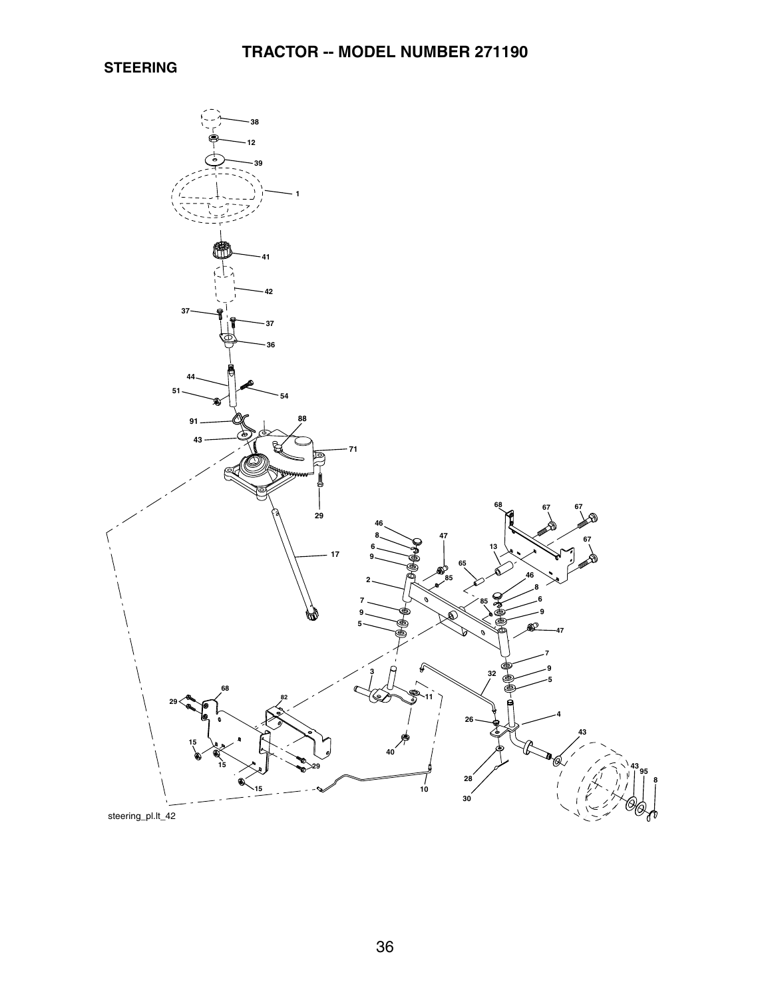**STEERING**

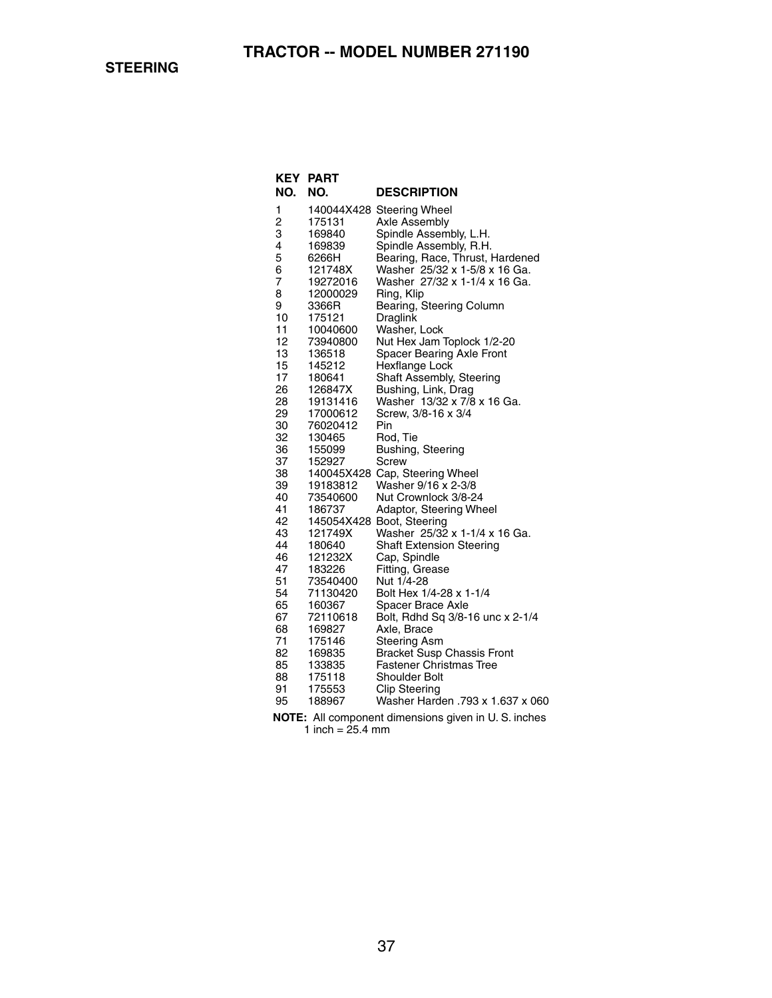| <b>KEY</b>     | <b>PART</b>          |                                                     |
|----------------|----------------------|-----------------------------------------------------|
| NO.            | NO.                  | <b>DESCRIPTION</b>                                  |
| 1              |                      | 140044X428 Steering Wheel                           |
| $\overline{c}$ | 175131               | Axle Assembly                                       |
| 3              | 169840               | Spindle Assembly, L.H.                              |
| 4              | 169839               | Spindle Assembly, R.H.                              |
| 5              | 6266H                | Bearing, Race, Thrust, Hardened                     |
| 6              | 121748X              | Washer 25/32 x 1-5/8 x 16 Ga.                       |
| 7              | 19272016             | Washer 27/32 x 1-1/4 x 16 Ga.                       |
| 8              | 12000029             | Ring, Klip                                          |
| 9              | 3366R                | Bearing, Steering Column                            |
| 10             | 175121               | Draglink                                            |
| 11             | 10040600             | Washer, Lock                                        |
| 12             | 73940800             | Nut Hex Jam Toplock 1/2-20                          |
| 13             | 136518               | <b>Spacer Bearing Axle Front</b>                    |
| 15             | 145212               | Hexflange Lock                                      |
| 17             | 180641               | Shaft Assembly, Steering                            |
| 26             | 126847X              | Bushing, Link, Drag                                 |
| 28             | 19131416             | Washer 13/32 x 7/8 x 16 Ga.                         |
| 29<br>30       | 17000612<br>76020412 | Screw, 3/8-16 x 3/4<br>Pin                          |
| 32             | 130465               |                                                     |
| 36             | 155099               | Rod, Tie                                            |
| 37             | 152927               | Bushing, Steering<br><b>Screw</b>                   |
| 38             |                      | 140045X428 Cap, Steering Wheel                      |
| 39             | 19183812             | Washer 9/16 x 2-3/8                                 |
| 40             | 73540600             | Nut Crownlock 3/8-24                                |
| 41             | 186737               | Adaptor, Steering Wheel                             |
| 42             |                      | 145054X428 Boot, Steering                           |
| 43             | 121749X              | Washer 25/32 x 1-1/4 x 16 Ga.                       |
| 44             | 180640               | <b>Shaft Extension Steering</b>                     |
| 46             | 121232X              | Cap, Spindle                                        |
| 47             | 183226               | Fitting, Grease                                     |
| 51             | 73540400             | Nut 1/4-28                                          |
| 54             | 71130420             | Bolt Hex 1/4-28 x 1-1/4                             |
| 65             | 160367               | Spacer Brace Axle                                   |
| 67             | 72110618             | Bolt, Rdhd Sq 3/8-16 unc x 2-1/4                    |
| 68             | 169827               | Axle, Brace                                         |
| 71             | 175146               | Steering Asm                                        |
| 82             | 169835               | <b>Bracket Susp Chassis Front</b>                   |
| 85             | 133835               | <b>Fastener Christmas Tree</b>                      |
| 88             | 175118               | <b>Shoulder Bolt</b>                                |
| 91             | 175553               | <b>Clip Steering</b>                                |
| 95             | 188967               | Washer Harden .793 x 1.637 x 060                    |
|                |                      | NOTE: All component dimensions given in U.S. inches |

1 inch = 25.4 mm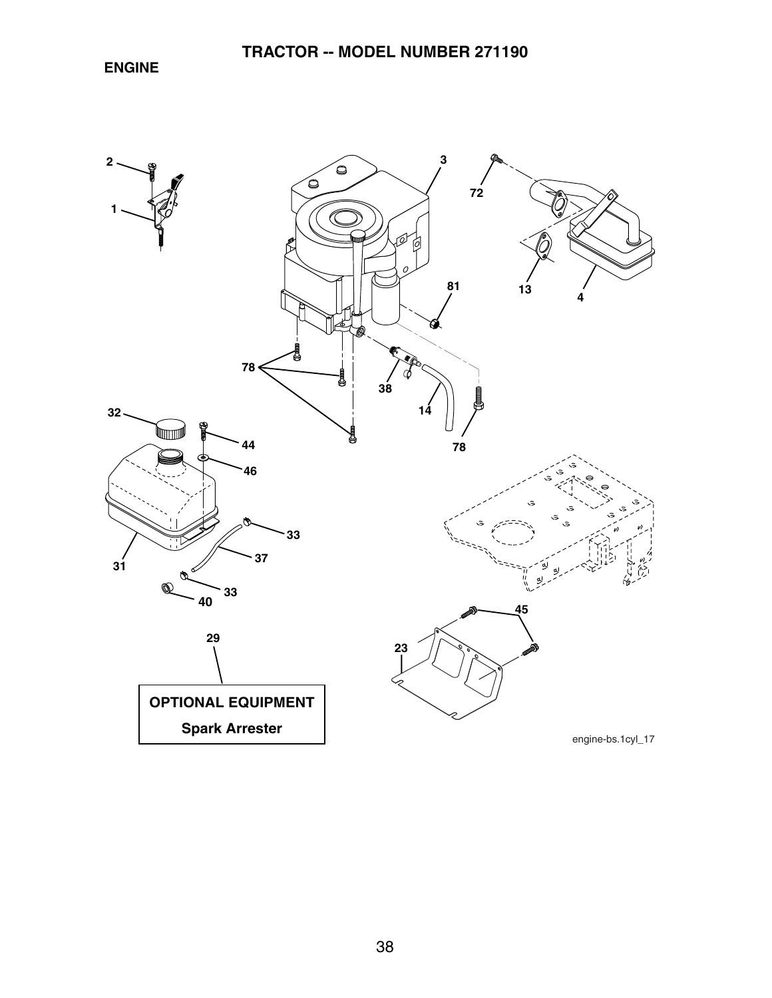**ENGINE**

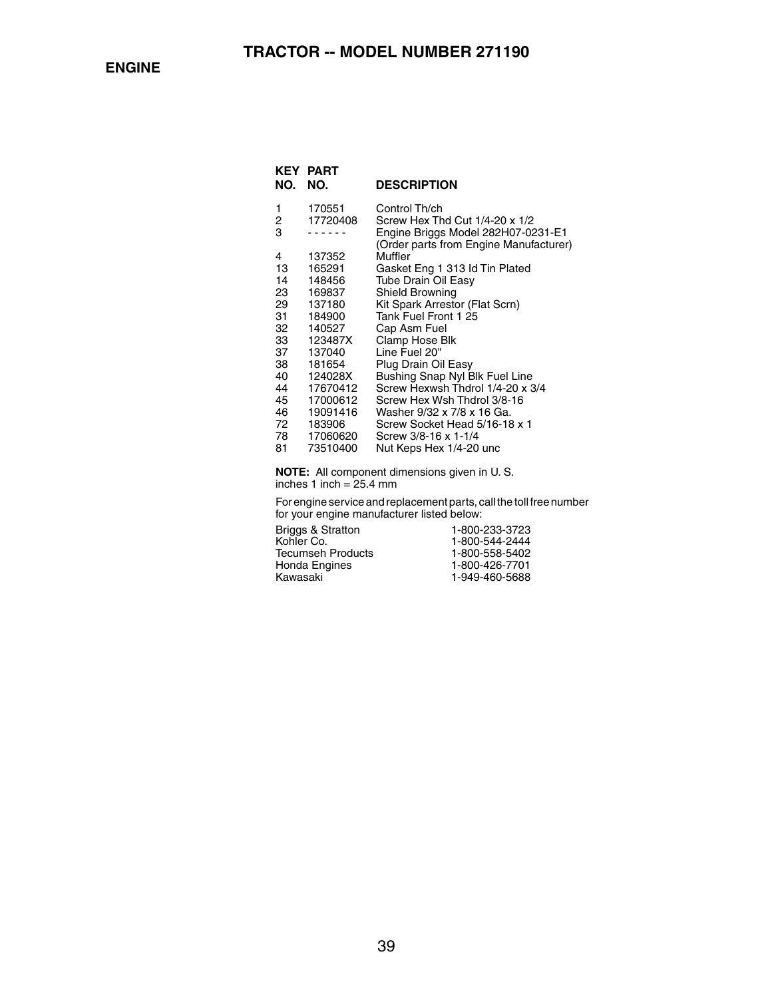| KEY.<br>NO. | PART<br>NO. | <b>DESCRIPTION</b>                                                           |
|-------------|-------------|------------------------------------------------------------------------------|
| 1           | 170551      | Control Th/ch                                                                |
| 2           | 17720408    | Screw Hex Thd Cut 1/4-20 x 1/2                                               |
| 3           |             | Engine Briggs Model 282H07-0231-E1<br>(Order parts from Engine Manufacturer) |
| 4           | 137352      | Muffler                                                                      |
| 13          | 165291      | Gasket Eng 1 313 ld Tin Plated                                               |
| 14          | 148456      | Tube Drain Oil Easy                                                          |
| 23          | 169837      | Shield Browning                                                              |
| 29          | 137180      | Kit Spark Arrestor (Flat Scrn)                                               |
| 31          | 184900      | Tank Fuel Front 1 25                                                         |
| 32          | 140527      | Cap Asm Fuel                                                                 |
| 33          | 123487X     | Clamp Hose Blk                                                               |
| 37          | 137040      | Line Fuel 20"                                                                |
| 38          | 181654      | Plug Drain Oil Easy                                                          |
| 40          | 124028X     | Bushing Snap Nyl Blk Fuel Line                                               |
| 44          | 17670412    | Screw Hexwsh Thdrol 1/4-20 x 3/4                                             |
| 45          | 17000612    | Screw Hex Wsh Thdrol 3/8-16                                                  |
| 46          | 19091416    | Washer 9/32 x 7/8 x 16 Ga.                                                   |
| 72          | 183906      | Screw Socket Head 5/16-18 x 1                                                |
| 78          | 17060620    | Screw 3/8-16 x 1-1/4                                                         |
| 81          | 73510400    | Nut Keps Hex 1/4-20 unc                                                      |
|             |             |                                                                              |

**NOTE:** All component dimensions given in U. S. inches 1 inch = 25.4 mm

For engine service and replacement parts, call the toll free number for your engine manufacturer listed below:

| Briggs & Stratton | 1-800-233-3723 |
|-------------------|----------------|
| Kohler Co.        | 1-800-544-2444 |
| Tecumseh Products | 1-800-558-5402 |
| Honda Engines     | 1-800-426-7701 |
| Kawasaki          | 1-949-460-5688 |
|                   |                |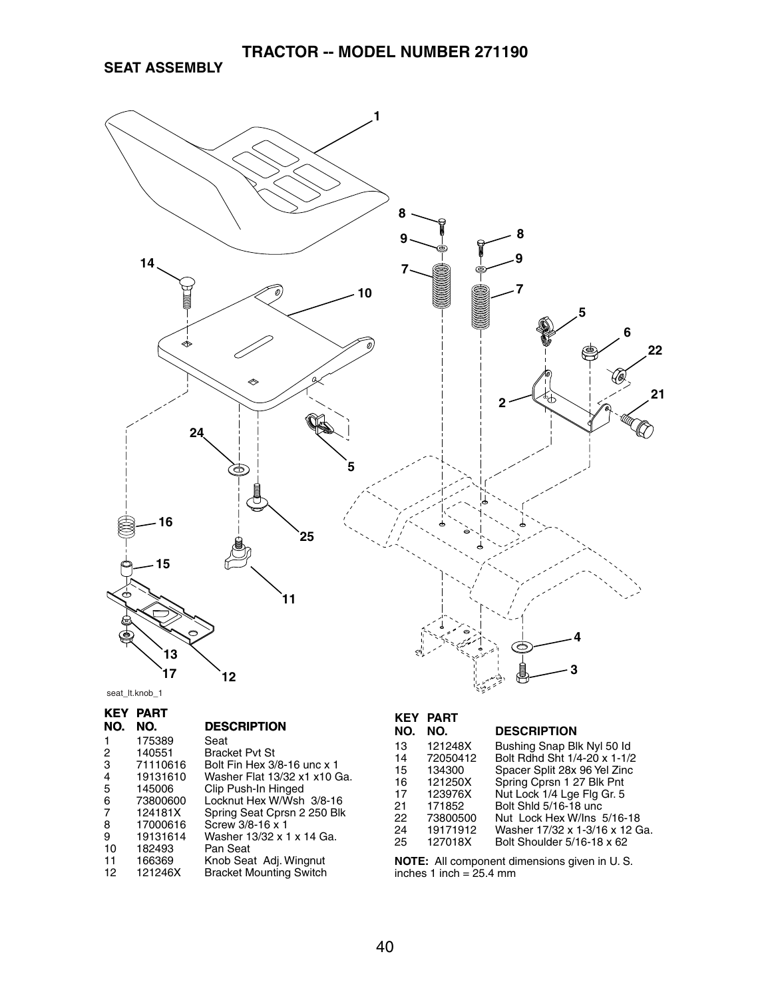**SEAT ASSEMBLY**



seat\_lt.knob\_1

| KEY<br>NO. | PART<br>NO. | <b>DESCRIPTION</b>             |
|------------|-------------|--------------------------------|
| 1          | 175389      | Seat                           |
|            |             |                                |
| 2          | 140551      | <b>Bracket Pvt St</b>          |
| 3          | 71110616    | Bolt Fin Hex 3/8-16 unc x 1    |
| 4          | 19131610    | Washer Flat 13/32 x1 x10 Ga.   |
| 5          | 145006      | Clip Push-In Hinged            |
| 6          | 73800600    | Locknut Hex W/Wsh 3/8-16       |
| 7          | 124181X     | Spring Seat Cprsn 2 250 Blk    |
| 8          | 17000616    | Screw 3/8-16 x 1               |
| 9          | 19131614    | Washer 13/32 x 1 x 14 Ga.      |
| 10         | 182493      | Pan Seat                       |
| 11         | 166369      | Knob Seat Adj. Wingnut         |
| 12         | 121246X     | <b>Bracket Mounting Switch</b> |
|            |             |                                |

### 13 121248X Bushing Snap Blk Nyl 50 Id 14 72050412 Bolt Rdhd Sht 1/4-20 x 1-1/2 15 134300 Spacer Split 28x 96 Yel Zinc 16 121250X Spring Cprsn 1 27 Blk Pnt 17 123976X Nut Lock 1/4 Lge Flg Gr. 5 21 171852 Bolt Shld 5/16-18 unc 22 73800500 Nut Lock Hex W/Ins 5/16-18 24 19171912 Washer 17/32 x 1-3/16 x 12 Ga.<br>25 127018X Bolt Shoulder 5/16-18 x 62 Bolt Shoulder  $5/16-18 \times 62$ **KEY PART NO. DESCRIPTION**<br>121248X Bushing Snap BI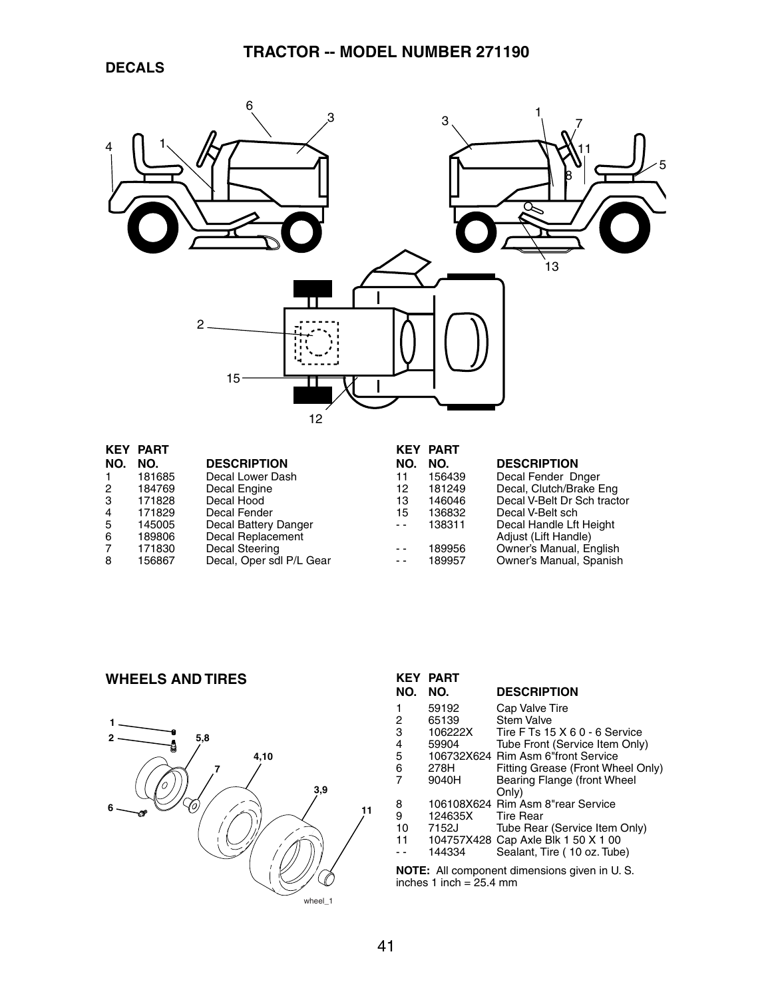

|     | <b>KEY PART</b> |                          |      | <b>KEY PART</b> |                             |
|-----|-----------------|--------------------------|------|-----------------|-----------------------------|
| NO. | NO.             | <b>DESCRIPTION</b>       | NO.  | NO.             | <b>DESCRIPTION</b>          |
|     | 181685          | Decal Lower Dash         | 11   | 156439          | Decal Fender Dnger          |
| 2   | 184769          | Decal Engine             | 12   | 181249          | Decal, Clutch/Brake Eng     |
| 3   | 171828          | Decal Hood               | 13   | 146046          | Decal V-Belt Dr Sch tractor |
| 4   | 171829          | Decal Fender             | 15   | 136832          | Decal V-Belt sch            |
| 5   | 145005          | Decal Battery Danger     | $ -$ | 138311          | Decal Handle Lft Height     |
| 6   | 189806          | Decal Replacement        |      |                 | Adjust (Lift Handle)        |
|     | 171830          | Decal Steering           | $ -$ | 189956          | Owner's Manual, English     |
| 8   | 156867          | Decal, Oper sdl P/L Gear | $ -$ | 189957          | Owner's Manual, Spanish     |

### **WHEELS AND TIRES**



| <b>KEY</b><br>NO.                           | <b>PART</b><br>NO. | <b>DESCRIPTION</b>                   |  |
|---------------------------------------------|--------------------|--------------------------------------|--|
| 1                                           | 59192              | Cap Valve Tire                       |  |
| 2                                           | 65139              | <b>Stem Valve</b>                    |  |
| 3                                           | 106222X            | Tire F Ts 15 X 6 0 - 6 Service       |  |
| 4                                           | 59904              | Tube Front (Service Item Only)       |  |
| 5                                           |                    | 106732X624 Rim Asm 6"front Service   |  |
| 6                                           | 278H               | Fitting Grease (Front Wheel Only)    |  |
| 7                                           | 9040H              | Bearing Flange (front Wheel<br>Only) |  |
| 8                                           |                    | 106108X624 Rim Asm 8"rear Service    |  |
| 9                                           | 124635X            | <b>Tire Rear</b>                     |  |
| 10                                          | 7152J              | Tube Rear (Service Item Only)        |  |
| 11                                          |                    | 104757X428 Cap Axle Blk 1 50 X 1 00  |  |
|                                             | 144334             | Sealant, Tire (10 oz. Tube)          |  |
| .<br>$\mathbf{A} \mathbf{H}$ = $\mathbf{H}$ |                    |                                      |  |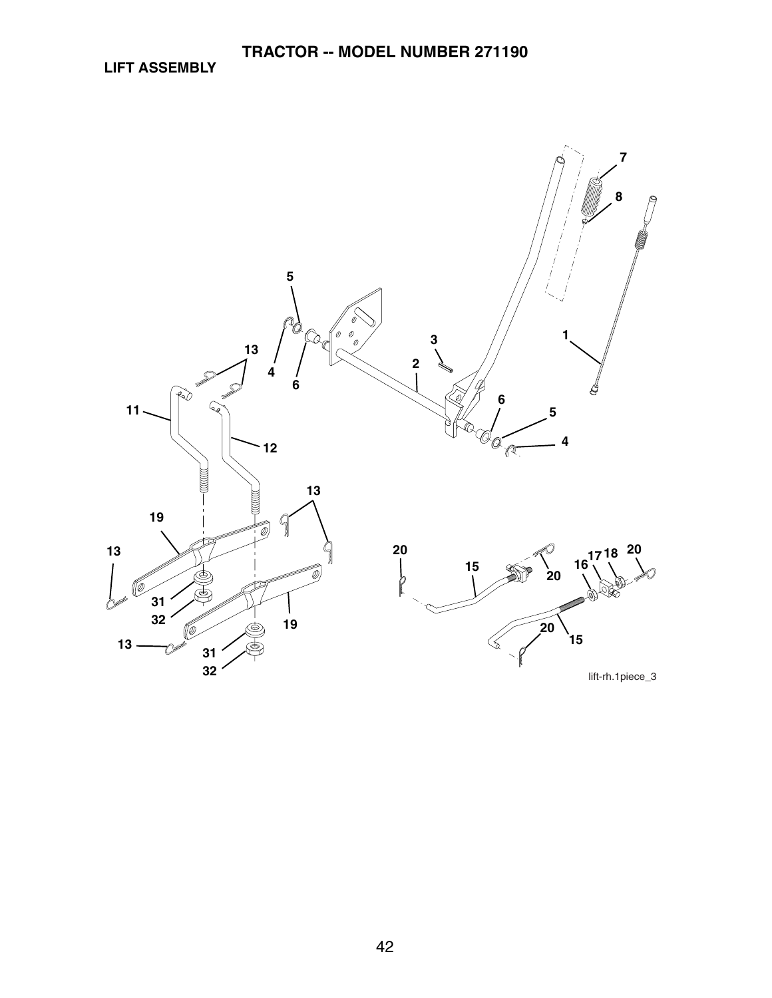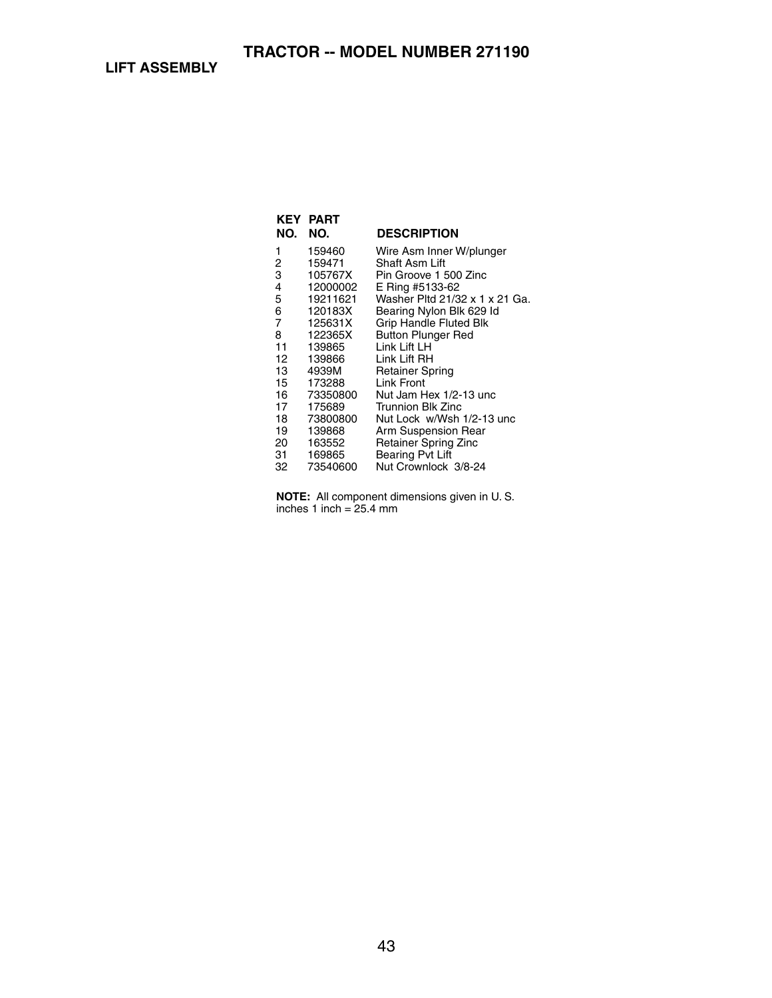| NO. | KEY PART<br>NO. | <b>DESCRIPTION</b>             |
|-----|-----------------|--------------------------------|
|     |                 |                                |
| 1   | 159460          | Wire Asm Inner W/plunger       |
| 2   | 159471          | Shaft Asm Lift                 |
| 3   | 105767X         | Pin Groove 1 500 Zinc          |
| 4   | 12000002        | E Ring #5133-62                |
| 5   | 19211621        | Washer Pltd 21/32 x 1 x 21 Ga. |
| 6   | 120183X         | Bearing Nylon Blk 629 ld       |
| 7   | 125631X         | <b>Grip Handle Fluted Blk</b>  |
| 8   | 122365X         | <b>Button Plunger Red</b>      |
| 11  | 139865          | Link Lift LH                   |
| 12  | 139866          | Link Lift RH                   |
| 13  | 4939M           | <b>Retainer Spring</b>         |
| 15  | 173288          | Link Front                     |
| 16  | 73350800        | Nut Jam Hex 1/2-13 unc         |
| 17  | 175689          | Trunnion Blk Zinc              |
| 18  | 73800800        | Nut Lock w/Wsh 1/2-13 unc      |
| 19  | 139868          | Arm Suspension Rear            |
| 20  | 163552          | <b>Retainer Spring Zinc</b>    |
| 31  | 169865          | <b>Bearing Pvt Lift</b>        |
| 32  | 73540600        | Nut Crownlock 3/8-24           |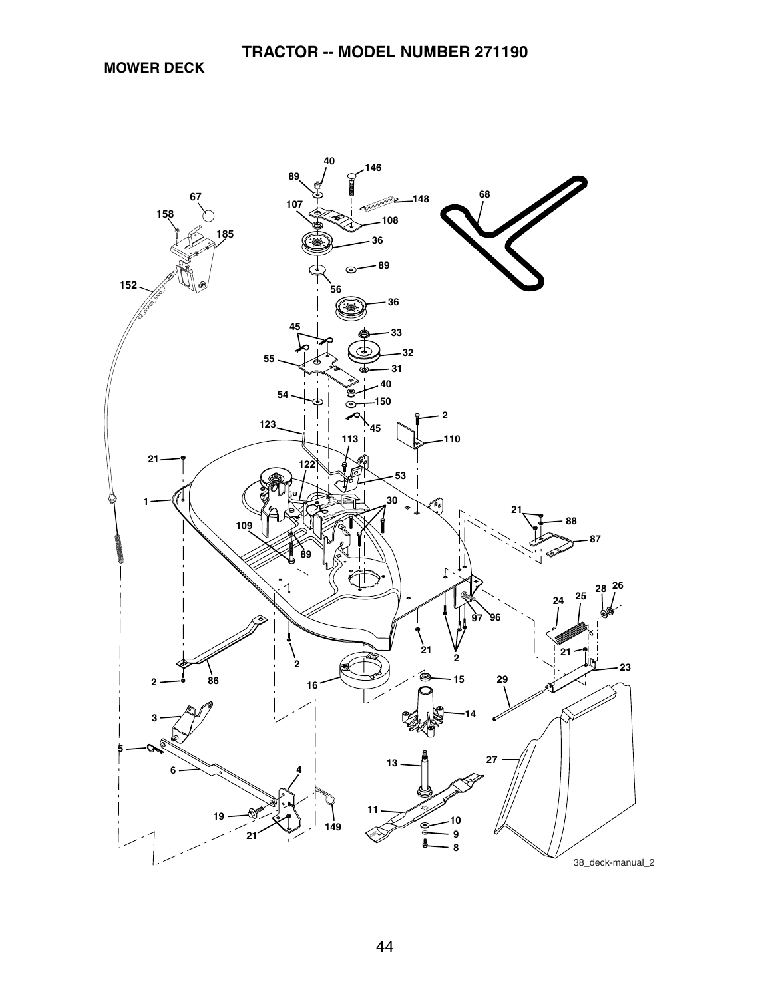**MOWER DECK**